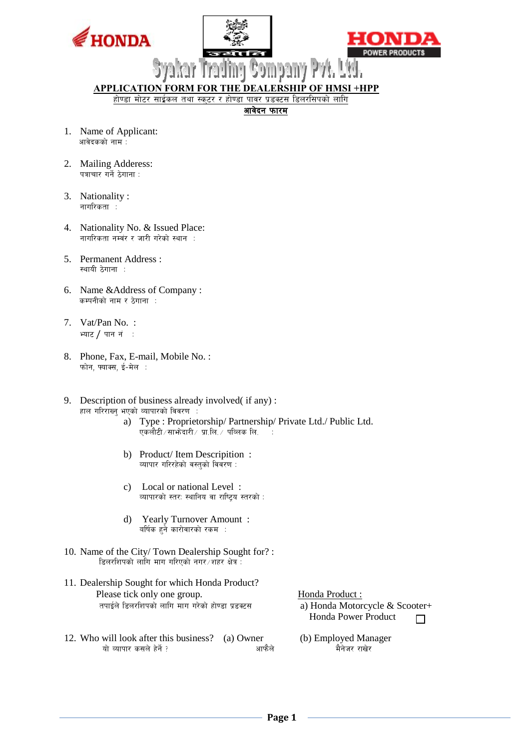





**APPLICATION FORM FOR THE DEALERSHIP OF HMSI +HPP** 

होण्डा मोटर साईकल तथा स्कुटर र होण्डा पावर प्रडक्टस डिलरसिपको लागि

आवेदन फारम

- 1. Name of Applicant: ्<br>अविदकको नाम
- 2. Mailing Adderess: पत्राचार गर्ने ठेगाना $:$
- 3. Nationality : नागरिकता :
- 4. Nationality No. & Issued Place: नागरिकता नम्बर र जारी गरेको स्थान $\;$  :
- 5. Permanent Address : स्थायी  $\lambda$ गाना $\ldots$
- 6. Name &Address of Company : कम्पनीको नाम र ठेगाना :
- 7. Vat/Pan No. : भ्याट / पान नं $\,$ :
- 8. Phone, Fax, E-mail, Mobile No. : फोन, फ्याक्स, ई-मेल :
- 9. Description of business already involved( if any) : हाल गरिराख्न् भएको व्यापारको विवरण $\;$  :
	- a) Type : Proprietorship/ Partnership/ Private Ltd./ Public Ltd.  $\bar{\mathbf{v}}$ कलौटी $\bar{\mathcal{A}}$ साभ $\bar{\mathbf{s}}$ दारी $\bar{\mathcal{A}}$ ा प्रा.लि. $\bar{\mathcal{A}}$  पब्लिक लि.
	- b) Product/ Item Descripition : व्यापार गरिरहेको वस्तको विवरण :
	- c) Local or national Level : व्यापारको स्तर: स्थानिय वा राष्ट्रिय स्तरको :
	- d) Yearly Turnover Amount : वर्षिक हुने कारोवारको रकम $\;$  :
- 10. Name of the City/ Town Dealership Sought for? : डिलरशिपको लागि माग गरिएको नगर $\sqrt{2}$ हर क्षेत्र $\frac{1}{2}$
- 11. Dealership Sought for which Honda Product? Please tick only one group. तपाईले डिलरशिपको लागि माग गरेको होण्डा प्रडक्टस  $a)$  Honda Motorcycle  $\&$  Scooter+
- 12. Who will look after this business? (a) Owner (b) Employed Manager यो व्यापार कसले हेर्ने ?  $\overline{u}$  व्यापार कसले हेर्ने ?  $\overline{u}$  and  $\overline{u}$  and  $\overline{u}$

Honda Product : Honda Power Product  $\Box$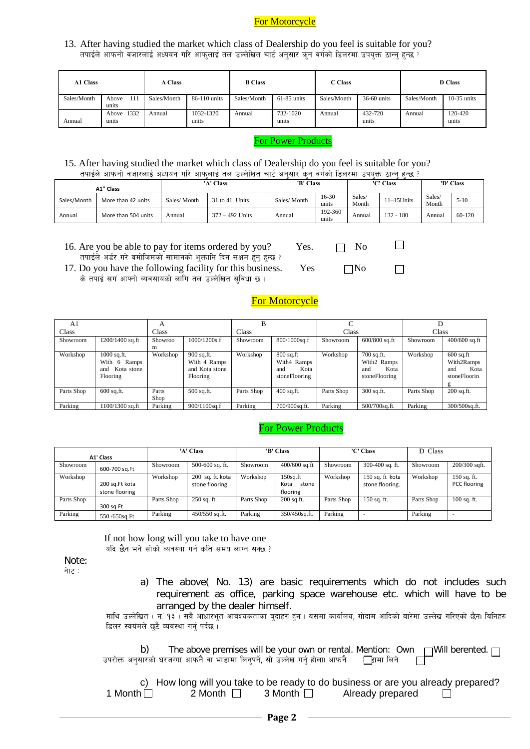# For Motorcycle

13. After having studied the market which class of Dealership do you feel is suitable for you? तपाईले आफनो वजारलाई अध्ययन गरि आफलाई तल उल्लेखित चार्ट अनुसार कन वर्गको डिलरमा उपयक्त ठान्न हुन्छ ?

| A1 Class    |                       | A Class     |                    | <b>B</b> Class |                   | C Class     |                  | <b>D</b> Class |                  |  |
|-------------|-----------------------|-------------|--------------------|----------------|-------------------|-------------|------------------|----------------|------------------|--|
| Sales/Month | 111<br>Above<br>units | Sales/Month | 86-110 units       | Sales/Month    | $61-85$ units     | Sales/Month | 36-60 units      | Sales/Month    | $10-35$ units    |  |
| Annual      | Above 1332<br>units   | Annual      | 1032-1320<br>units | Annual         | 732-1020<br>units | Annual      | 432-720<br>units | Annual         | 120-420<br>units |  |

### For Power Products

### 15. After having studied the market which class of Dealership do you feel is suitable for you? तपाईले आफनो वजारलाई अध्ययन गरि आफलाई तल उल्लेखित चार्ट अनुसार कुन वर्गको डिलरमा उपयुक्त ठान्न हुन्छ ?

|                                   | A1" Class           |             | 'A' Class         | 'B' Class   |                  |                 | د د<br>'C' Class |                 | 'D' Class |
|-----------------------------------|---------------------|-------------|-------------------|-------------|------------------|-----------------|------------------|-----------------|-----------|
| Sales/Month<br>More than 42 units |                     | Sales/Month | 31 to 41 Units    | Sales/Month | 16-30<br>units   | Sales/<br>Month | $11-15$ Units    | Sales/<br>Month | $5-10$    |
| Annual                            | More than 504 units | Annual      | $372 - 492$ Units | Annual      | 192-360<br>units | Annual          | $132 - 180$      | Annual          | 60-120    |

16. Are you be able to pay for items ordered by you? Yes.  $\Box$  No तपाईले अर्डर गरे वमोजिमको सामानको भुक्तानि दिन सक्षम हुनु हुन्छ ?

17. Do you have the following facility for this business. Yes  $\nabla$ No के तपाई सगं आफ्नो व्यवसायको लागि तल उल्लेखित सुविधा छ।

# For Motorcycle

 $\Box$ 

 $\Box$ 

| A1         | A                                                              |               |                                                          |            |                                                            |            |                                                           |            |                                                          |  |
|------------|----------------------------------------------------------------|---------------|----------------------------------------------------------|------------|------------------------------------------------------------|------------|-----------------------------------------------------------|------------|----------------------------------------------------------|--|
| Class      |                                                                | Class         |                                                          | Class      |                                                            | Class      |                                                           | Class      |                                                          |  |
| Showroom   | 1200/1400 sq.ft                                                | Showroo<br>m  | 1000/1200s.f                                             | Showroom   | 800/1000sq.f                                               | Showroom   | $600/800$ sq.ft                                           | Showroom   | $400/600$ sq.ft                                          |  |
| Workshop   | $1000$ sq.ft.<br>With 6 Ramps<br>Kota stone<br>and<br>Flooring | Workshop      | 900 sq.ft.<br>With 4 Ramps<br>and Kota stone<br>Flooring | Workshop   | $800$ sq.ft<br>With4 Ramps<br>Kota<br>and<br>stoneFlooring | Workshop   | 700 sq.ft.<br>With2 Ramps<br>Kota<br>and<br>stoneFlooring | Workshop   | $600$ sq.ft<br>With2Ramps<br>Kota<br>and<br>stoneFloorin |  |
| Parts Shop | $600$ sq, ft.                                                  | Parts<br>Shop | $500$ sq.ft.                                             | Parts Shop | $400$ sq.ft.                                               | Parts Shop | $300$ sq.ft.                                              | Parts Shop | $200$ sq.ft.                                             |  |
| Parking    | 1100/1300 sq.ft                                                | Parking       | 900/1100sq.f                                             | Parking    | 700/900sq.ft.                                              | Parking    | 500/700sq.ft.                                             | Parking    | 300/500sq.ft.                                            |  |

## For Power Products

|                         |                                  |            | 'A' Class                          |            | 'B' Class                                |            | 'C' Class                            | D Class    |                               |  |
|-------------------------|----------------------------------|------------|------------------------------------|------------|------------------------------------------|------------|--------------------------------------|------------|-------------------------------|--|
|                         | A1' Class                        |            |                                    |            |                                          |            |                                      |            |                               |  |
| Showroom                | 600-700 sq.Ft                    | Showroom   | $500-600$ sq. ft.                  | Showroom   | $400/600$ sq.ft                          | Showroom   | 300-400 sq. ft.                      | Showroom   | 200/300 sqft.                 |  |
| Workshop                | 200 sq.Ft kota<br>stone flooring | Workshop   | 200 sq. ft. kota<br>stone flooring | Workshop   | $150$ sq.ft<br>Kota<br>stone<br>flooring | Workshop   | $150$ sq. ft kota<br>stone flooring. | Workshop   | $150$ sq. ft.<br>PCC flooring |  |
| Parts Shop              | 300 sq.Ft                        | Parts Shop | $250$ sq. ft.                      | Parts Shop | $200$ sq.ft.                             | Parts Shop | $150$ sq. ft.                        | Parts Shop | $100$ sq. ft.                 |  |
| Parking<br>550/650sq.Ft |                                  | Parking    | $450/550$ sq.ft.                   | Parking    | 350/450sq.ft.                            | Parking    |                                      | Parking    | - 1                           |  |

 If not how long will you take to have one यदि छैन भने सोको व्यवस्था गर्न कति समय लाग्न सक्छ ?

Note:

- नेाट $:$
- a) The above( No. 13) are basic requirements which do not includes such requirement as office, parking space warehouse etc. which will have to be arranged by the dealer himself.

माथि उल्लेखित ( न. १३ ) सबै आधारभुत आवश्यकताका बुदाहरु हुन । यसमा कार्यालय, गोदाम आदिको बारेमा उल्लेख गरिएको छैन। यिनिहरु डिलर स्वयंमले छुटै व्यवस्था गर्नु पर्दछ ।

b) The above premises will be your own or rental. Mention: Own  $\Box$  Will berented.  $\Box$ उपरोक्त अनुसारको घरजग्गा आफनै वा भाडामा लिनुपर्ने, सो उल्लेख गर्नु होला। आफनै द्यानिमा लिने

|                |                |                | c) How long will you take to be ready to do business or are you already prepared? |  |
|----------------|----------------|----------------|-----------------------------------------------------------------------------------|--|
| 1 Month $\Box$ | 2 Month $\Box$ | 3 Month $\Box$ | Already prepared                                                                  |  |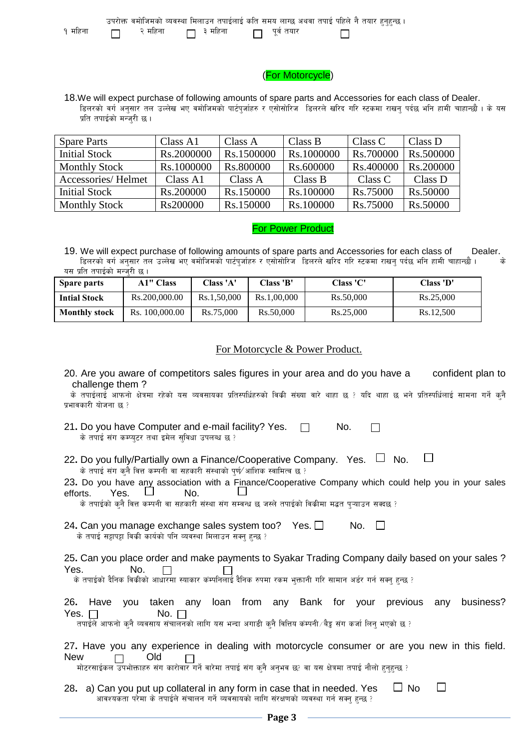|         |         | उपरोक्त वमोजिमको व्यवस्था मिलाउन तपाईलाई कति समय लाग्छ अथवा तपाई पहिले नै तयार हुनुहुन्छ । |              |  |  |
|---------|---------|--------------------------------------------------------------------------------------------|--------------|--|--|
| १ महिना | २ महिना | ा ३ महिना                                                                                  | ा पूर्व तयार |  |  |

## (For Motorcycle)

18.We will expect purchase of following amounts of spare parts and Accessories for each class of Dealer. lडलरको वर्ग अनुसार तल उल्लेख भए वमोजिमको पार्टपर्जाहरु र एसोसोरिज डिलरले खरिद गरि स्टकमा राखन पर्दछ भनि हामी चाहान्छौ । के यस प्रति तपाईको मन्जरी छ।

| <b>Spare Parts</b>   | Class A1   | Class A    | Class B    | Class C   | Class D   |
|----------------------|------------|------------|------------|-----------|-----------|
| <b>Initial Stock</b> | Rs.2000000 | Rs.1500000 | Rs.1000000 | Rs.700000 | Rs.500000 |
| <b>Monthly Stock</b> | Rs.1000000 | Rs.800000  | Rs.600000  | Rs.400000 | Rs.200000 |
| Accessories/Helmet   | Class A1   | Class A    | Class B    | Class C   | Class D   |
| <b>Initial Stock</b> | Rs.200000  | Rs.150000  | Rs.100000  | Rs.75000  | Rs.50000  |
| <b>Monthly Stock</b> | Rs200000   | Rs.150000  | Rs.100000  | Rs.75000  | Rs.50000  |

### For Power Product

19. We will expect purchase of following amounts of spare parts and Accessories for each class of Dealer. ि हिलरको वर्ग अनुसार तल उल्लेख भए वमोजिमको पार्टपर्जाहरु र एसोसोरिज<sup>ं</sup> डिलरले खरिद गरि स्टकमा राखन् पर्दछ भनि हामी चाहान्छौ । के यस प्रति तपाईको मन्जरी छ।

| Spare parts          | <b>A1" Class</b> | <b>Class 'A'</b> | Class 'B'   | <b>Class 'C'</b> | Class 'D' |
|----------------------|------------------|------------------|-------------|------------------|-----------|
| <b>Intial Stock</b>  | Rs.200,000.00    | Rs.1,50,000      | Rs.1,00,000 | Rs.50,000        | Rs.25,000 |
| <b>Monthly stock</b> | Rs. 100,000.00   | Rs.75,000        | Rs.50,000   | Rs.25,000        | Rs.12.500 |

## For Motorcycle & Power Product.

20. Are you aware of competitors sales figures in your area and do you have a confident plan to challenge them ?

के तपाईलाई आफनो क्षेत्रमा रहेको यस व्यवसायका प्रतिस्पर्धिहरुको विकी संख्या वारे थाहा छ ? यदि थाहा छ भने प्रतिस्पर्धिलाई सामना गर्ने कनै प्रभावकारी योजना छ*?* 

21. Do you have Computer and e-mail facility? Yes.  $\Box$  No.  $\Box$ के तपाई संग कम्प्युटर तथा इमेल सुविधा उपलब्ध छ ?

| 22. Do you fully/Partially own a Finance/Cooperative Company. Yes. $\Box$ No. |  | $\overline{\phantom{a}}$ |
|-------------------------------------------------------------------------------|--|--------------------------|
| के तपाई संग कुनै वित्त कम्पनी वा सहकारी संस्थाको पुर्ण⁄ आंशिक स्वामित्व छ ?   |  |                          |

|                          |  | 23. Do you have any association with a Finance/Cooperative Company which could help you in your sales |  |  |
|--------------------------|--|-------------------------------------------------------------------------------------------------------|--|--|
| efforts. Yes. $\Box$ No. |  |                                                                                                       |  |  |

के तपाईको कनै वित्त कम्पनी वा सहकारी संस्था संग सम्बन्ध छ जस्ले तपाईको विक्रीमा मद्भत पऱ्याउन सक्दछ ?

24. Can you manage exchange sales system too? Yes.  $\Box$  No.  $\Box$ के तपाई सट्टापट्टा विकी कार्यको पनि व्यवस्था मिलाउन सक्त हुन्छ ?

25**.** Can you place order and make payments to Syakar Trading Company daily based on your sales ? Yes. No.  $\Box$  $\Box$ 

के तपाईको दैनिक विक्रीको आधारमा स्याकार कंम्पनिलाई दैनिक रुपमा रकम भक्तानी गरि सामान अर्डर गर्न सक्न हन्छ ?

|             |            |  |  |  |  | 26. Have you taken any loan from any Bank for your previous any business? |
|-------------|------------|--|--|--|--|---------------------------------------------------------------------------|
| Yes. $\Box$ | No. $\Box$ |  |  |  |  |                                                                           |

तपाईले आफनो कनै व्यवसाय संचालनको लागि यस भन्दा अगाडी कनै वित्तिय कम्पनी/बैड्न संग कर्जा लिन भएको छ ?

|                       |  |  |  | 27. Have you any experience in dealing with motorcycle consumer or are you new in this field. |  |  |  |  |
|-----------------------|--|--|--|-----------------------------------------------------------------------------------------------|--|--|--|--|
| New $\Box$ Old $\Box$ |  |  |  |                                                                                               |  |  |  |  |

मोटरसाईकल उपभोक्ताहरु संग कारोवार गर्ने वारेमा तपाई संग कनै अनुभव छ? वा यस क्षेत्रमा तपाई नौलो हुनुहुन्छ ?

 $\Box$ 28. a) Can you put up collateral in any form in case that in needed. Yes  $\Box$  No ana vara the refluit is the state of the state in the state what is the set  $\frac{2}{3}$  is analyzing state in the set  $\frac{2}{3}$